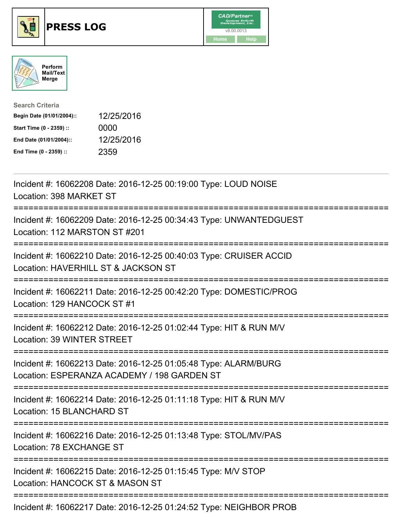





| <b>Search Criteria</b>    |            |
|---------------------------|------------|
| Begin Date (01/01/2004):: | 12/25/2016 |
| Start Time (0 - 2359) ::  | 0000       |
| End Date (01/01/2004)::   | 12/25/2016 |
| End Time (0 - 2359) ::    | 2359       |

| Incident #: 16062208 Date: 2016-12-25 00:19:00 Type: LOUD NOISE<br>Location: 398 MARKET ST<br>==============                                     |
|--------------------------------------------------------------------------------------------------------------------------------------------------|
| Incident #: 16062209 Date: 2016-12-25 00:34:43 Type: UNWANTEDGUEST<br>Location: 112 MARSTON ST #201<br>:===========                              |
| Incident #: 16062210 Date: 2016-12-25 00:40:03 Type: CRUISER ACCID<br>Location: HAVERHILL ST & JACKSON ST<br>=========================           |
| Incident #: 16062211 Date: 2016-12-25 00:42:20 Type: DOMESTIC/PROG<br>Location: 129 HANCOCK ST #1<br>===============<br>---------------------    |
| Incident #: 16062212 Date: 2016-12-25 01:02:44 Type: HIT & RUN M/V<br>Location: 39 WINTER STREET                                                 |
| Incident #: 16062213 Date: 2016-12-25 01:05:48 Type: ALARM/BURG<br>Location: ESPERANZA ACADEMY / 198 GARDEN ST<br>============================== |
| Incident #: 16062214 Date: 2016-12-25 01:11:18 Type: HIT & RUN M/V<br>Location: 15 BLANCHARD ST                                                  |
| Incident #: 16062216 Date: 2016-12-25 01:13:48 Type: STOL/MV/PAS<br>Location: 78 EXCHANGE ST                                                     |
| ====================================<br>Incident #: 16062215 Date: 2016-12-25 01:15:45 Type: M/V STOP<br>Location: HANCOCK ST & MASON ST         |
| =====================================<br>Incident #: 16062217 Date: 2016-12-25 01:24:52 Type: NEIGHBOR PROB                                      |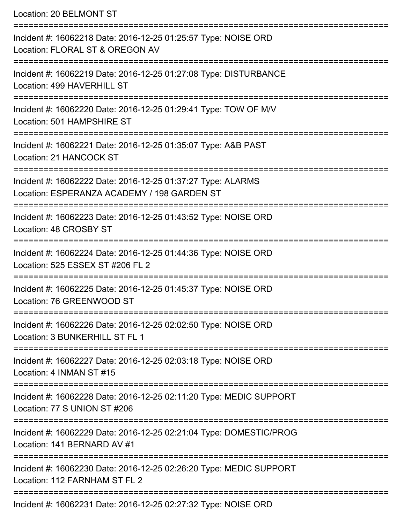Location: 20 BELMONT ST

| Incident #: 16062218 Date: 2016-12-25 01:25:57 Type: NOISE ORD<br>Location: FLORAL ST & OREGON AV          |
|------------------------------------------------------------------------------------------------------------|
| Incident #: 16062219 Date: 2016-12-25 01:27:08 Type: DISTURBANCE<br>Location: 499 HAVERHILL ST             |
| Incident #: 16062220 Date: 2016-12-25 01:29:41 Type: TOW OF M/V<br>Location: 501 HAMPSHIRE ST              |
| Incident #: 16062221 Date: 2016-12-25 01:35:07 Type: A&B PAST<br>Location: 21 HANCOCK ST                   |
| Incident #: 16062222 Date: 2016-12-25 01:37:27 Type: ALARMS<br>Location: ESPERANZA ACADEMY / 198 GARDEN ST |
| Incident #: 16062223 Date: 2016-12-25 01:43:52 Type: NOISE ORD<br>Location: 48 CROSBY ST                   |
| Incident #: 16062224 Date: 2016-12-25 01:44:36 Type: NOISE ORD<br>Location: 525 ESSEX ST #206 FL 2         |
| Incident #: 16062225 Date: 2016-12-25 01:45:37 Type: NOISE ORD<br>Location: 76 GREENWOOD ST                |
| Incident #: 16062226 Date: 2016-12-25 02:02:50 Type: NOISE ORD<br>Location: 3 BUNKERHILL ST FL 1           |
| Incident #: 16062227 Date: 2016-12-25 02:03:18 Type: NOISE ORD<br>Location: 4 INMAN ST #15                 |
| Incident #: 16062228 Date: 2016-12-25 02:11:20 Type: MEDIC SUPPORT<br>Location: 77 S UNION ST #206         |
| Incident #: 16062229 Date: 2016-12-25 02:21:04 Type: DOMESTIC/PROG<br>Location: 141 BERNARD AV #1          |
| Incident #: 16062230 Date: 2016-12-25 02:26:20 Type: MEDIC SUPPORT<br>Location: 112 FARNHAM ST FL 2        |
| Incident #: 16062231 Date: 2016-12-25 02:27:32 Type: NOISE ORD                                             |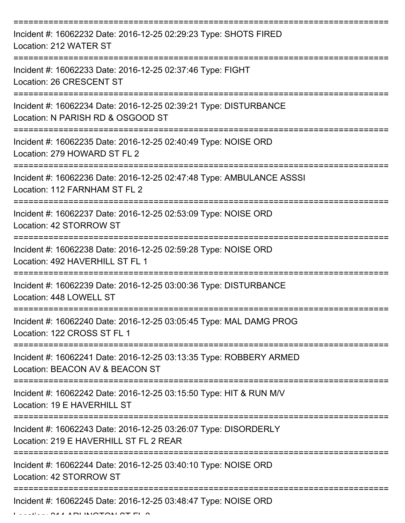| Incident #: 16062232 Date: 2016-12-25 02:29:23 Type: SHOTS FIRED<br>Location: 212 WATER ST                |
|-----------------------------------------------------------------------------------------------------------|
| Incident #: 16062233 Date: 2016-12-25 02:37:46 Type: FIGHT<br>Location: 26 CRESCENT ST                    |
| Incident #: 16062234 Date: 2016-12-25 02:39:21 Type: DISTURBANCE<br>Location: N PARISH RD & OSGOOD ST     |
| Incident #: 16062235 Date: 2016-12-25 02:40:49 Type: NOISE ORD<br>Location: 279 HOWARD ST FL 2            |
| Incident #: 16062236 Date: 2016-12-25 02:47:48 Type: AMBULANCE ASSSI<br>Location: 112 FARNHAM ST FL 2     |
| Incident #: 16062237 Date: 2016-12-25 02:53:09 Type: NOISE ORD<br>Location: 42 STORROW ST                 |
| Incident #: 16062238 Date: 2016-12-25 02:59:28 Type: NOISE ORD<br>Location: 492 HAVERHILL ST FL 1         |
| Incident #: 16062239 Date: 2016-12-25 03:00:36 Type: DISTURBANCE<br>Location: 448 LOWELL ST               |
| Incident #: 16062240 Date: 2016-12-25 03:05:45 Type: MAL DAMG PROG<br>Location: 122 CROSS ST FL 1         |
| Incident #: 16062241 Date: 2016-12-25 03:13:35 Type: ROBBERY ARMED<br>Location: BEACON AV & BEACON ST     |
| Incident #: 16062242 Date: 2016-12-25 03:15:50 Type: HIT & RUN M/V<br>Location: 19 E HAVERHILL ST         |
| Incident #: 16062243 Date: 2016-12-25 03:26:07 Type: DISORDERLY<br>Location: 219 E HAVERHILL ST FL 2 REAR |
| Incident #: 16062244 Date: 2016-12-25 03:40:10 Type: NOISE ORD<br>Location: 42 STORROW ST                 |
| Incident #: 16062245 Date: 2016-12-25 03:48:47 Type: NOISE ORD                                            |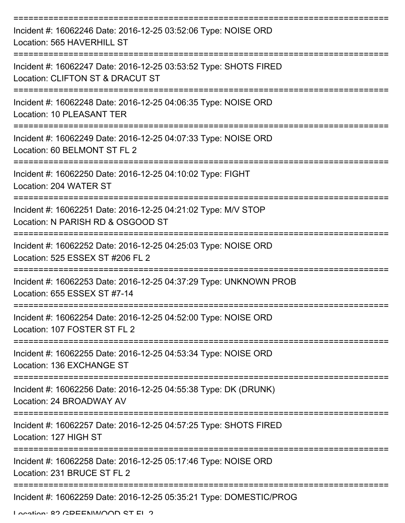| Incident #: 16062246 Date: 2016-12-25 03:52:06 Type: NOISE ORD<br>Location: 565 HAVERHILL ST         |
|------------------------------------------------------------------------------------------------------|
| Incident #: 16062247 Date: 2016-12-25 03:53:52 Type: SHOTS FIRED<br>Location: CLIFTON ST & DRACUT ST |
| Incident #: 16062248 Date: 2016-12-25 04:06:35 Type: NOISE ORD<br>Location: 10 PLEASANT TER          |
| Incident #: 16062249 Date: 2016-12-25 04:07:33 Type: NOISE ORD<br>Location: 60 BELMONT ST FL 2       |
| Incident #: 16062250 Date: 2016-12-25 04:10:02 Type: FIGHT<br>Location: 204 WATER ST                 |
| Incident #: 16062251 Date: 2016-12-25 04:21:02 Type: M/V STOP<br>Location: N PARISH RD & OSGOOD ST   |
| Incident #: 16062252 Date: 2016-12-25 04:25:03 Type: NOISE ORD<br>Location: 525 ESSEX ST #206 FL 2   |
| Incident #: 16062253 Date: 2016-12-25 04:37:29 Type: UNKNOWN PROB<br>Location: 655 ESSEX ST #7-14    |
| Incident #: 16062254 Date: 2016-12-25 04:52:00 Type: NOISE ORD<br>Location: 107 FOSTER ST FL 2       |
| Incident #: 16062255 Date: 2016-12-25 04:53:34 Type: NOISE ORD<br>Location: 136 EXCHANGE ST          |
| Incident #: 16062256 Date: 2016-12-25 04:55:38 Type: DK (DRUNK)<br>Location: 24 BROADWAY AV          |
| Incident #: 16062257 Date: 2016-12-25 04:57:25 Type: SHOTS FIRED<br>Location: 127 HIGH ST            |
| Incident #: 16062258 Date: 2016-12-25 05:17:46 Type: NOISE ORD<br>Location: 231 BRUCE ST FL 2        |
| Incident #: 16062259 Date: 2016-12-25 05:35:21 Type: DOMESTIC/PROG                                   |

Location: 82 GDEENIMOOD ST EL 2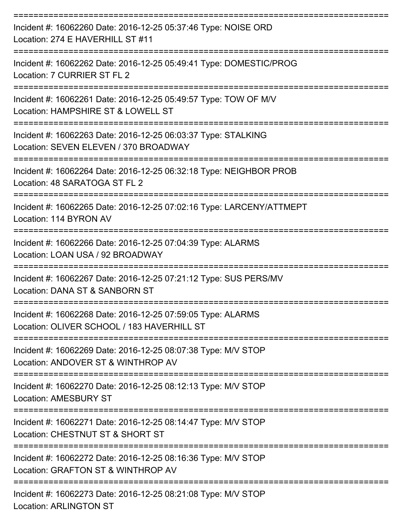| Incident #: 16062260 Date: 2016-12-25 05:37:46 Type: NOISE ORD<br>Location: 274 E HAVERHILL ST #11        |
|-----------------------------------------------------------------------------------------------------------|
| Incident #: 16062262 Date: 2016-12-25 05:49:41 Type: DOMESTIC/PROG<br>Location: 7 CURRIER ST FL 2         |
| Incident #: 16062261 Date: 2016-12-25 05:49:57 Type: TOW OF M/V<br>Location: HAMPSHIRE ST & LOWELL ST     |
| Incident #: 16062263 Date: 2016-12-25 06:03:37 Type: STALKING<br>Location: SEVEN ELEVEN / 370 BROADWAY    |
| Incident #: 16062264 Date: 2016-12-25 06:32:18 Type: NEIGHBOR PROB<br>Location: 48 SARATOGA ST FL 2       |
| Incident #: 16062265 Date: 2016-12-25 07:02:16 Type: LARCENY/ATTMEPT<br>Location: 114 BYRON AV            |
| Incident #: 16062266 Date: 2016-12-25 07:04:39 Type: ALARMS<br>Location: LOAN USA / 92 BROADWAY           |
| Incident #: 16062267 Date: 2016-12-25 07:21:12 Type: SUS PERS/MV<br>Location: DANA ST & SANBORN ST        |
| Incident #: 16062268 Date: 2016-12-25 07:59:05 Type: ALARMS<br>Location: OLIVER SCHOOL / 183 HAVERHILL ST |
| Incident #: 16062269 Date: 2016-12-25 08:07:38 Type: M/V STOP<br>Location: ANDOVER ST & WINTHROP AV       |
| Incident #: 16062270 Date: 2016-12-25 08:12:13 Type: M/V STOP<br><b>Location: AMESBURY ST</b>             |
| Incident #: 16062271 Date: 2016-12-25 08:14:47 Type: M/V STOP<br>Location: CHESTNUT ST & SHORT ST         |
| Incident #: 16062272 Date: 2016-12-25 08:16:36 Type: M/V STOP<br>Location: GRAFTON ST & WINTHROP AV       |
| Incident #: 16062273 Date: 2016-12-25 08:21:08 Type: M/V STOP<br><b>Location: ARLINGTON ST</b>            |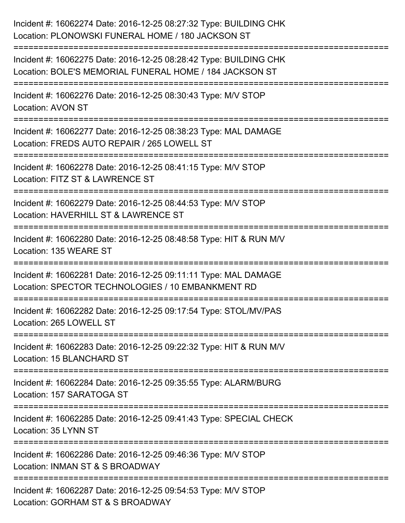| Incident #: 16062274 Date: 2016-12-25 08:27:32 Type: BUILDING CHK<br>Location: PLONOWSKI FUNERAL HOME / 180 JACKSON ST                                    |
|-----------------------------------------------------------------------------------------------------------------------------------------------------------|
| Incident #: 16062275 Date: 2016-12-25 08:28:42 Type: BUILDING CHK<br>Location: BOLE'S MEMORIAL FUNERAL HOME / 184 JACKSON ST                              |
| Incident #: 16062276 Date: 2016-12-25 08:30:43 Type: M/V STOP<br><b>Location: AVON ST</b>                                                                 |
| Incident #: 16062277 Date: 2016-12-25 08:38:23 Type: MAL DAMAGE<br>Location: FREDS AUTO REPAIR / 265 LOWELL ST                                            |
| Incident #: 16062278 Date: 2016-12-25 08:41:15 Type: M/V STOP<br>Location: FITZ ST & LAWRENCE ST                                                          |
| Incident #: 16062279 Date: 2016-12-25 08:44:53 Type: M/V STOP<br>Location: HAVERHILL ST & LAWRENCE ST                                                     |
| Incident #: 16062280 Date: 2016-12-25 08:48:58 Type: HIT & RUN M/V<br>Location: 135 WEARE ST                                                              |
| =================================<br>Incident #: 16062281 Date: 2016-12-25 09:11:11 Type: MAL DAMAGE<br>Location: SPECTOR TECHNOLOGIES / 10 EMBANKMENT RD |
| Incident #: 16062282 Date: 2016-12-25 09:17:54 Type: STOL/MV/PAS<br>Location: 265 LOWELL ST                                                               |
| Incident #: 16062283 Date: 2016-12-25 09:22:32 Type: HIT & RUN M/V<br>Location: 15 BLANCHARD ST                                                           |
| Incident #: 16062284 Date: 2016-12-25 09:35:55 Type: ALARM/BURG<br>Location: 157 SARATOGA ST                                                              |
| Incident #: 16062285 Date: 2016-12-25 09:41:43 Type: SPECIAL CHECK<br>Location: 35 LYNN ST                                                                |
| Incident #: 16062286 Date: 2016-12-25 09:46:36 Type: M/V STOP<br>Location: INMAN ST & S BROADWAY                                                          |
| Incident #: 16062287 Date: 2016-12-25 09:54:53 Type: M/V STOP<br>Location: GORHAM ST & S BROADWAY                                                         |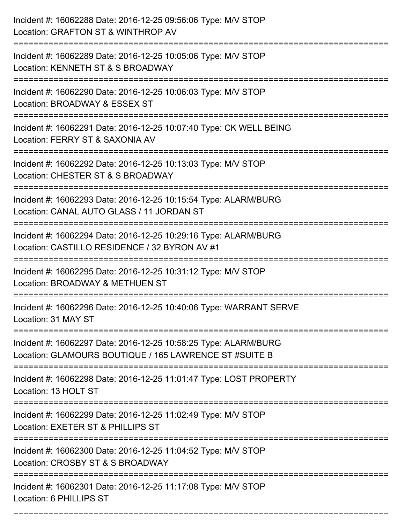| Incident #: 16062288 Date: 2016-12-25 09:56:06 Type: M/V STOP<br>Location: GRAFTON ST & WINTHROP AV                                                                                            |
|------------------------------------------------------------------------------------------------------------------------------------------------------------------------------------------------|
| Incident #: 16062289 Date: 2016-12-25 10:05:06 Type: M/V STOP<br>Location: KENNETH ST & S BROADWAY                                                                                             |
| Incident #: 16062290 Date: 2016-12-25 10:06:03 Type: M/V STOP<br>Location: BROADWAY & ESSEX ST<br>==========================                                                                   |
| Incident #: 16062291 Date: 2016-12-25 10:07:40 Type: CK WELL BEING<br>Location: FERRY ST & SAXONIA AV                                                                                          |
| Incident #: 16062292 Date: 2016-12-25 10:13:03 Type: M/V STOP<br>Location: CHESTER ST & S BROADWAY                                                                                             |
| Incident #: 16062293 Date: 2016-12-25 10:15:54 Type: ALARM/BURG<br>Location: CANAL AUTO GLASS / 11 JORDAN ST                                                                                   |
| Incident #: 16062294 Date: 2016-12-25 10:29:16 Type: ALARM/BURG<br>Location: CASTILLO RESIDENCE / 32 BYRON AV #1<br>-----------------                                                          |
| Incident #: 16062295 Date: 2016-12-25 10:31:12 Type: M/V STOP<br>Location: BROADWAY & METHUEN ST                                                                                               |
| Incident #: 16062296 Date: 2016-12-25 10:40:06 Type: WARRANT SERVE<br>Location: 31 MAY ST                                                                                                      |
| Incident #: 16062297 Date: 2016-12-25 10:58:25 Type: ALARM/BURG<br>Location: GLAMOURS BOUTIQUE / 165 LAWRENCE ST #SUITE B<br>===================================<br>========================== |
| Incident #: 16062298 Date: 2016-12-25 11:01:47 Type: LOST PROPERTY<br>Location: 13 HOLT ST<br>======================                                                                           |
| Incident #: 16062299 Date: 2016-12-25 11:02:49 Type: M/V STOP<br>Location: EXETER ST & PHILLIPS ST                                                                                             |
| Incident #: 16062300 Date: 2016-12-25 11:04:52 Type: M/V STOP<br>Location: CROSBY ST & S BROADWAY                                                                                              |
| Incident #: 16062301 Date: 2016-12-25 11:17:08 Type: M/V STOP<br>Location: 6 PHILLIPS ST                                                                                                       |

===========================================================================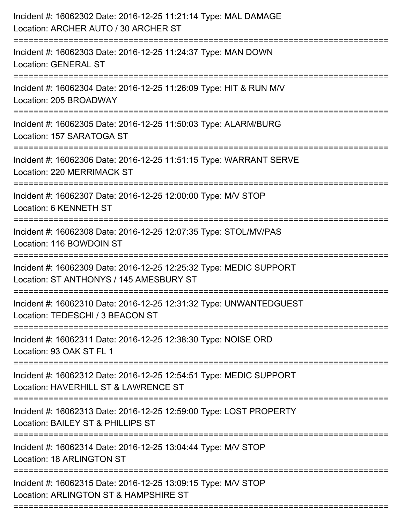| Incident #: 16062302 Date: 2016-12-25 11:21:14 Type: MAL DAMAGE<br>Location: ARCHER AUTO / 30 ARCHER ST<br>=====================       |
|----------------------------------------------------------------------------------------------------------------------------------------|
| Incident #: 16062303 Date: 2016-12-25 11:24:37 Type: MAN DOWN<br><b>Location: GENERAL ST</b>                                           |
| Incident #: 16062304 Date: 2016-12-25 11:26:09 Type: HIT & RUN M/V<br>Location: 205 BROADWAY                                           |
| Incident #: 16062305 Date: 2016-12-25 11:50:03 Type: ALARM/BURG<br>Location: 157 SARATOGA ST                                           |
| Incident #: 16062306 Date: 2016-12-25 11:51:15 Type: WARRANT SERVE<br>Location: 220 MERRIMACK ST<br>================================== |
| Incident #: 16062307 Date: 2016-12-25 12:00:00 Type: M/V STOP<br>Location: 6 KENNETH ST                                                |
| Incident #: 16062308 Date: 2016-12-25 12:07:35 Type: STOL/MV/PAS<br>Location: 116 BOWDOIN ST                                           |
| Incident #: 16062309 Date: 2016-12-25 12:25:32 Type: MEDIC SUPPORT<br>Location: ST ANTHONYS / 145 AMESBURY ST                          |
| Incident #: 16062310 Date: 2016-12-25 12:31:32 Type: UNWANTEDGUEST<br>Location: TEDESCHI / 3 BEACON ST                                 |
| Incident #: 16062311 Date: 2016-12-25 12:38:30 Type: NOISE ORD<br>Location: 93 OAK ST FL 1                                             |
| Incident #: 16062312 Date: 2016-12-25 12:54:51 Type: MEDIC SUPPORT<br>Location: HAVERHILL ST & LAWRENCE ST                             |
| Incident #: 16062313 Date: 2016-12-25 12:59:00 Type: LOST PROPERTY<br>Location: BAILEY ST & PHILLIPS ST                                |
| Incident #: 16062314 Date: 2016-12-25 13:04:44 Type: M/V STOP<br><b>Location: 18 ARLINGTON ST</b>                                      |
| Incident #: 16062315 Date: 2016-12-25 13:09:15 Type: M/V STOP<br>Location: ARLINGTON ST & HAMPSHIRE ST                                 |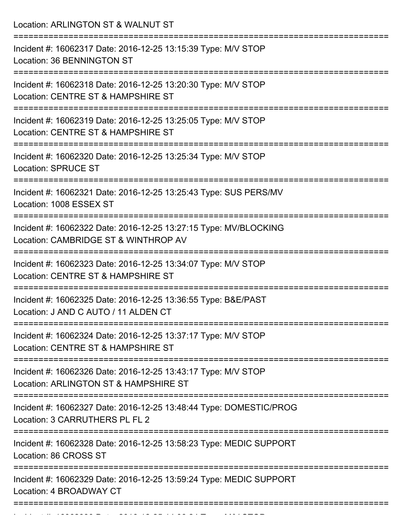| Incident #: 16062317 Date: 2016-12-25 13:15:39 Type: M/V STOP<br>Location: 36 BENNINGTON ST<br>Incident #: 16062318 Date: 2016-12-25 13:20:30 Type: M/V STOP<br>Location: CENTRE ST & HAMPSHIRE ST |
|----------------------------------------------------------------------------------------------------------------------------------------------------------------------------------------------------|
|                                                                                                                                                                                                    |
|                                                                                                                                                                                                    |
| Incident #: 16062319 Date: 2016-12-25 13:25:05 Type: M/V STOP<br>Location: CENTRE ST & HAMPSHIRE ST<br>:==============================                                                             |
| Incident #: 16062320 Date: 2016-12-25 13:25:34 Type: M/V STOP<br><b>Location: SPRUCE ST</b>                                                                                                        |
| Incident #: 16062321 Date: 2016-12-25 13:25:43 Type: SUS PERS/MV<br>Location: 1008 ESSEX ST                                                                                                        |
| Incident #: 16062322 Date: 2016-12-25 13:27:15 Type: MV/BLOCKING<br>Location: CAMBRIDGE ST & WINTHROP AV<br>;==============================                                                        |
| Incident #: 16062323 Date: 2016-12-25 13:34:07 Type: M/V STOP<br>Location: CENTRE ST & HAMPSHIRE ST                                                                                                |
| Incident #: 16062325 Date: 2016-12-25 13:36:55 Type: B&E/PAST<br>Location: J AND C AUTO / 11 ALDEN CT                                                                                              |
| Incident #: 16062324 Date: 2016-12-25 13:37:17 Type: M/V STOP<br>Location: CENTRE ST & HAMPSHIRE ST                                                                                                |
| Incident #: 16062326 Date: 2016-12-25 13:43:17 Type: M/V STOP<br>Location: ARLINGTON ST & HAMPSHIRE ST                                                                                             |
| Incident #: 16062327 Date: 2016-12-25 13:48:44 Type: DOMESTIC/PROG<br>Location: 3 CARRUTHERS PL FL 2                                                                                               |
| Incident #: 16062328 Date: 2016-12-25 13:58:23 Type: MEDIC SUPPORT<br>Location: 86 CROSS ST                                                                                                        |
| Incident #: 16062329 Date: 2016-12-25 13:59:24 Type: MEDIC SUPPORT<br>Location: 4 BROADWAY CT                                                                                                      |

Incident #: 16062330 Date: 2016 12 25 14:06:24 Type: M/V STOP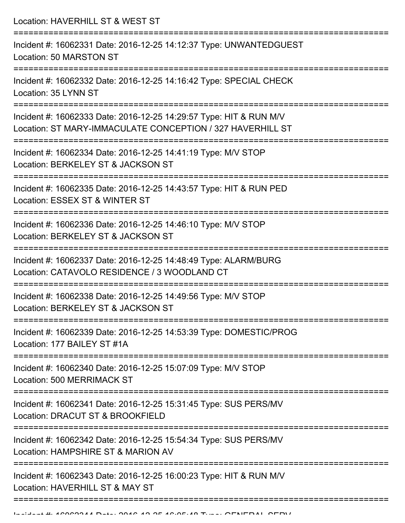Location: HAVERHILL ST & WEST ST

| Incident #: 16062331 Date: 2016-12-25 14:12:37 Type: UNWANTEDGUEST<br>Location: 50 MARSTON ST                                                    |
|--------------------------------------------------------------------------------------------------------------------------------------------------|
| Incident #: 16062332 Date: 2016-12-25 14:16:42 Type: SPECIAL CHECK<br>Location: 35 LYNN ST                                                       |
| Incident #: 16062333 Date: 2016-12-25 14:29:57 Type: HIT & RUN M/V<br>Location: ST MARY-IMMACULATE CONCEPTION / 327 HAVERHILL ST                 |
| Incident #: 16062334 Date: 2016-12-25 14:41:19 Type: M/V STOP<br>Location: BERKELEY ST & JACKSON ST                                              |
| Incident #: 16062335 Date: 2016-12-25 14:43:57 Type: HIT & RUN PED<br>Location: ESSEX ST & WINTER ST                                             |
| Incident #: 16062336 Date: 2016-12-25 14:46:10 Type: M/V STOP<br>Location: BERKELEY ST & JACKSON ST                                              |
| Incident #: 16062337 Date: 2016-12-25 14:48:49 Type: ALARM/BURG<br>Location: CATAVOLO RESIDENCE / 3 WOODLAND CT                                  |
| Incident #: 16062338 Date: 2016-12-25 14:49:56 Type: M/V STOP<br>Location: BERKELEY ST & JACKSON ST                                              |
| Incident #: 16062339 Date: 2016-12-25 14:53:39 Type: DOMESTIC/PROG<br>Location: 177 BAILEY ST #1A                                                |
| Incident #: 16062340 Date: 2016-12-25 15:07:09 Type: M/V STOP<br><b>Location: 500 MERRIMACK ST</b>                                               |
| Incident #: 16062341 Date: 2016-12-25 15:31:45 Type: SUS PERS/MV<br>Location: DRACUT ST & BROOKFIELD                                             |
| --------------------------------------<br>Incident #: 16062342 Date: 2016-12-25 15:54:34 Type: SUS PERS/MV<br>Location: HAMPSHIRE ST & MARION AV |
| Incident #: 16062343 Date: 2016-12-25 16:00:23 Type: HIT & RUN M/V<br>Location: HAVERHILL ST & MAY ST                                            |
|                                                                                                                                                  |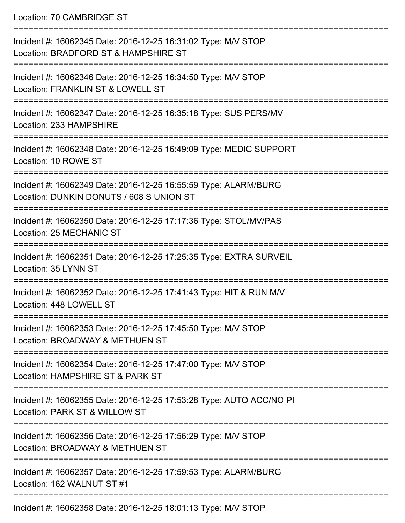Location: 70 CAMBRIDGE ST

| Incident #: 16062345 Date: 2016-12-25 16:31:02 Type: M/V STOP<br>Location: BRADFORD ST & HAMPSHIRE ST       |
|-------------------------------------------------------------------------------------------------------------|
| Incident #: 16062346 Date: 2016-12-25 16:34:50 Type: M/V STOP<br>Location: FRANKLIN ST & LOWELL ST          |
| Incident #: 16062347 Date: 2016-12-25 16:35:18 Type: SUS PERS/MV<br>Location: 233 HAMPSHIRE                 |
| Incident #: 16062348 Date: 2016-12-25 16:49:09 Type: MEDIC SUPPORT<br>Location: 10 ROWE ST                  |
| Incident #: 16062349 Date: 2016-12-25 16:55:59 Type: ALARM/BURG<br>Location: DUNKIN DONUTS / 608 S UNION ST |
| Incident #: 16062350 Date: 2016-12-25 17:17:36 Type: STOL/MV/PAS<br>Location: 25 MECHANIC ST                |
| Incident #: 16062351 Date: 2016-12-25 17:25:35 Type: EXTRA SURVEIL<br>Location: 35 LYNN ST                  |
| Incident #: 16062352 Date: 2016-12-25 17:41:43 Type: HIT & RUN M/V<br>Location: 448 LOWELL ST               |
| Incident #: 16062353 Date: 2016-12-25 17:45:50 Type: M/V STOP<br>Location: BROADWAY & METHUEN ST            |
| Incident #: 16062354 Date: 2016-12-25 17:47:00 Type: M/V STOP<br>Location: HAMPSHIRE ST & PARK ST           |
| Incident #: 16062355 Date: 2016-12-25 17:53:28 Type: AUTO ACC/NO PI<br>Location: PARK ST & WILLOW ST        |
| Incident #: 16062356 Date: 2016-12-25 17:56:29 Type: M/V STOP<br>Location: BROADWAY & METHUEN ST            |
| Incident #: 16062357 Date: 2016-12-25 17:59:53 Type: ALARM/BURG<br>Location: 162 WALNUT ST #1               |
| Incident #: 16062358 Date: 2016-12-25 18:01:13 Type: M/V STOP                                               |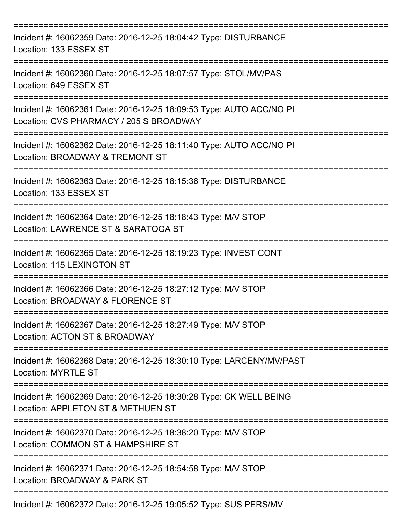| Incident #: 16062359 Date: 2016-12-25 18:04:42 Type: DISTURBANCE<br>Location: 133 ESSEX ST                          |
|---------------------------------------------------------------------------------------------------------------------|
| Incident #: 16062360 Date: 2016-12-25 18:07:57 Type: STOL/MV/PAS<br>Location: 649 ESSEX ST<br>===================   |
| Incident #: 16062361 Date: 2016-12-25 18:09:53 Type: AUTO ACC/NO PI<br>Location: CVS PHARMACY / 205 S BROADWAY      |
| Incident #: 16062362 Date: 2016-12-25 18:11:40 Type: AUTO ACC/NO PI<br>Location: BROADWAY & TREMONT ST              |
| Incident #: 16062363 Date: 2016-12-25 18:15:36 Type: DISTURBANCE<br>Location: 133 ESSEX ST                          |
| Incident #: 16062364 Date: 2016-12-25 18:18:43 Type: M/V STOP<br>Location: LAWRENCE ST & SARATOGA ST                |
| Incident #: 16062365 Date: 2016-12-25 18:19:23 Type: INVEST CONT<br>Location: 115 LEXINGTON ST                      |
| Incident #: 16062366 Date: 2016-12-25 18:27:12 Type: M/V STOP<br>Location: BROADWAY & FLORENCE ST<br>-------------- |
| Incident #: 16062367 Date: 2016-12-25 18:27:49 Type: M/V STOP<br>Location: ACTON ST & BROADWAY                      |
| Incident #: 16062368 Date: 2016-12-25 18:30:10 Type: LARCENY/MV/PAST<br><b>Location: MYRTLE ST</b>                  |
| Incident #: 16062369 Date: 2016-12-25 18:30:28 Type: CK WELL BEING<br>Location: APPLETON ST & METHUEN ST            |
| Incident #: 16062370 Date: 2016-12-25 18:38:20 Type: M/V STOP<br>Location: COMMON ST & HAMPSHIRE ST                 |
| Incident #: 16062371 Date: 2016-12-25 18:54:58 Type: M/V STOP<br>Location: BROADWAY & PARK ST                       |
| Incident #: 16062372 Date: 2016-12-25 19:05:52 Type: SUS PERS/MV                                                    |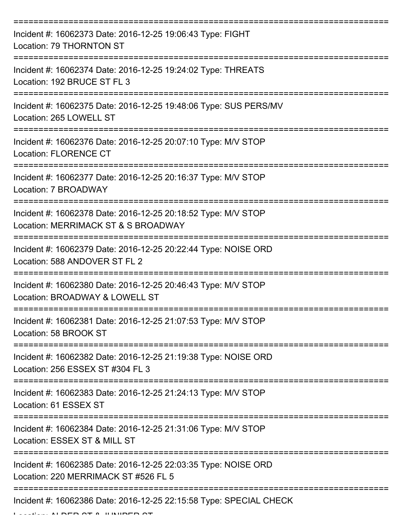| Incident #: 16062373 Date: 2016-12-25 19:06:43 Type: FIGHT<br>Location: 79 THORNTON ST                                          |
|---------------------------------------------------------------------------------------------------------------------------------|
| Incident #: 16062374 Date: 2016-12-25 19:24:02 Type: THREATS<br>Location: 192 BRUCE ST FL 3                                     |
| Incident #: 16062375 Date: 2016-12-25 19:48:06 Type: SUS PERS/MV<br>Location: 265 LOWELL ST                                     |
| Incident #: 16062376 Date: 2016-12-25 20:07:10 Type: M/V STOP<br>Location: FLORENCE CT                                          |
| Incident #: 16062377 Date: 2016-12-25 20:16:37 Type: M/V STOP<br>Location: 7 BROADWAY                                           |
| =======================<br>Incident #: 16062378 Date: 2016-12-25 20:18:52 Type: M/V STOP<br>Location: MERRIMACK ST & S BROADWAY |
| Incident #: 16062379 Date: 2016-12-25 20:22:44 Type: NOISE ORD<br>Location: 588 ANDOVER ST FL 2                                 |
| Incident #: 16062380 Date: 2016-12-25 20:46:43 Type: M/V STOP<br>Location: BROADWAY & LOWELL ST                                 |
| Incident #: 16062381 Date: 2016-12-25 21:07:53 Type: M/V STOP<br>Location: 58 BROOK ST                                          |
| Incident #: 16062382 Date: 2016-12-25 21:19:38 Type: NOISE ORD<br>Location: 256 ESSEX ST #304 FL 3                              |
| Incident #: 16062383 Date: 2016-12-25 21:24:13 Type: M/V STOP<br>Location: 61 ESSEX ST                                          |
| Incident #: 16062384 Date: 2016-12-25 21:31:06 Type: M/V STOP<br>Location: ESSEX ST & MILL ST                                   |
| Incident #: 16062385 Date: 2016-12-25 22:03:35 Type: NOISE ORD<br>Location: 220 MERRIMACK ST #526 FL 5                          |
| Incident #: 16062386 Date: 2016-12-25 22:15:58 Type: SPECIAL CHECK                                                              |